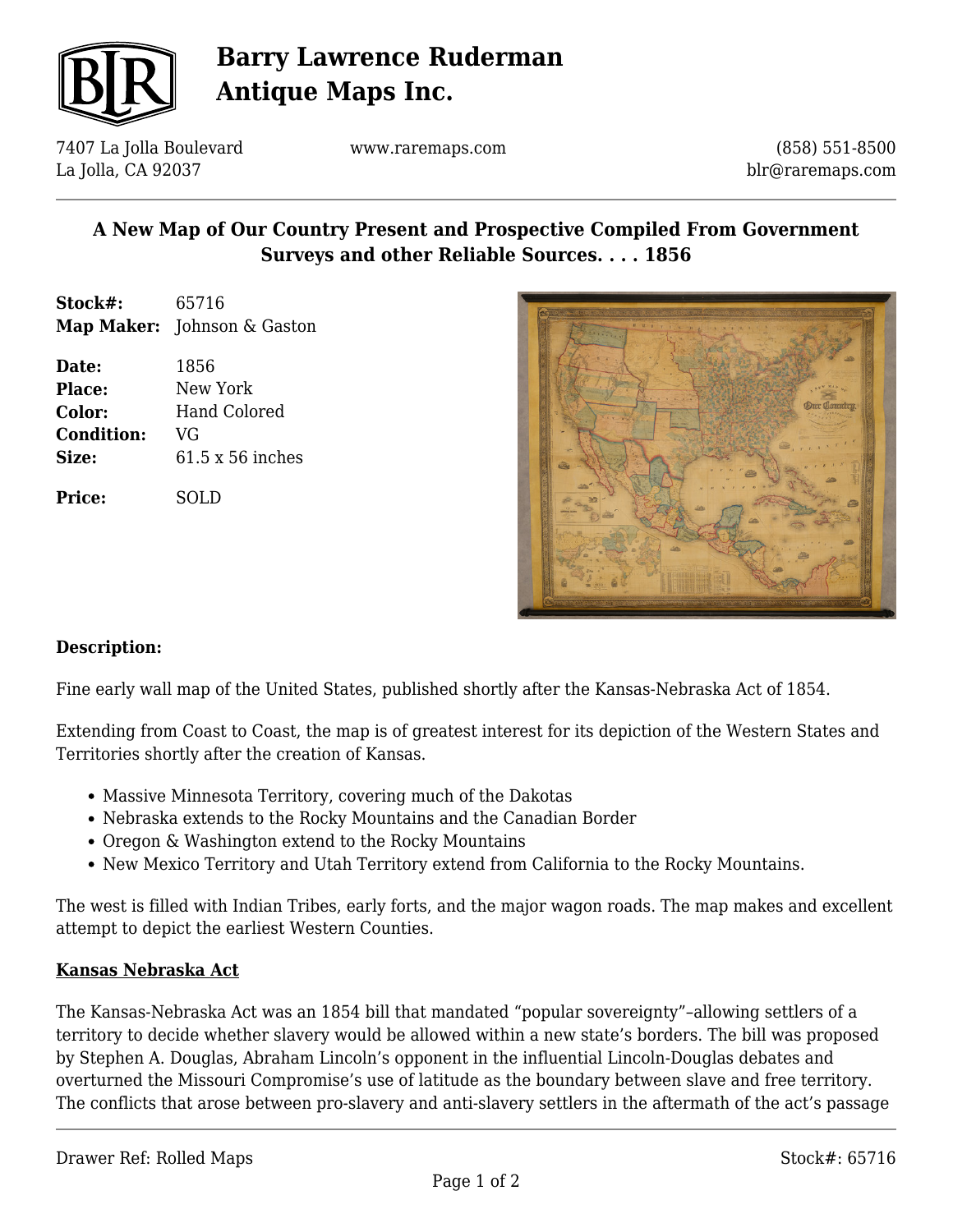

# **Barry Lawrence Ruderman Antique Maps Inc.**

7407 La Jolla Boulevard La Jolla, CA 92037

www.raremaps.com

(858) 551-8500 blr@raremaps.com

## **A New Map of Our Country Present and Prospective Compiled From Government Surveys and other Reliable Sources. . . . 1856**

| Stock#: | 65716                       |
|---------|-----------------------------|
|         | Map Maker: Johnson & Gaston |

**Date:** 1856 **Place:** New York **Color:** Hand Colored **Condition:** VG **Size:** 61.5 x 56 inches

**Price:** SOLD



### **Description:**

Fine early wall map of the United States, published shortly after the Kansas-Nebraska Act of 1854.

Extending from Coast to Coast, the map is of greatest interest for its depiction of the Western States and Territories shortly after the creation of Kansas.

- Massive Minnesota Territory, covering much of the Dakotas
- Nebraska extends to the Rocky Mountains and the Canadian Border
- Oregon & Washington extend to the Rocky Mountains
- New Mexico Territory and Utah Territory extend from California to the Rocky Mountains.

The west is filled with Indian Tribes, early forts, and the major wagon roads. The map makes and excellent attempt to depict the earliest Western Counties.

#### **Kansas Nebraska Act**

The Kansas-Nebraska Act was an 1854 bill that mandated "popular sovereignty"–allowing settlers of a territory to decide whether slavery would be allowed within a new state's borders. The bill was proposed by Stephen A. Douglas, Abraham Lincoln's opponent in the influential Lincoln-Douglas debates and overturned the Missouri Compromise's use of latitude as the boundary between slave and free territory. The conflicts that arose between pro-slavery and anti-slavery settlers in the aftermath of the act's passage